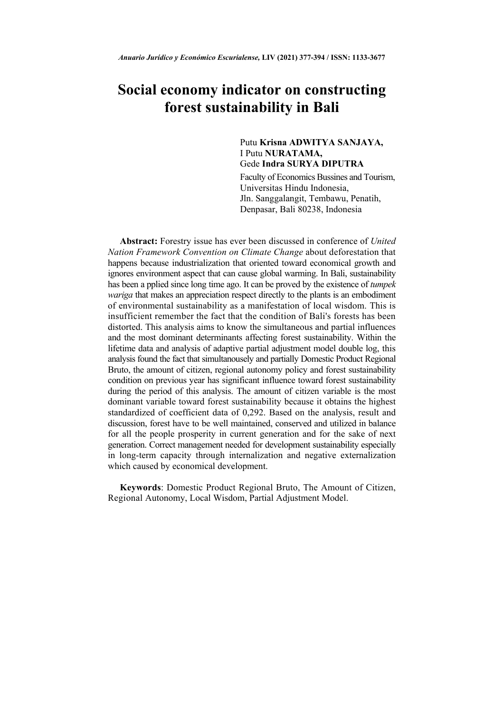# **Social economy indicator on constructing forest sustainability in Bali**

# Putu **Krisna ADWITYA SANJAYA,** I Putu **NURATAMA,**  Gede **Indra SURYA DIPUTRA**

Faculty of Economics Bussines and Tourism, Universitas Hindu Indonesia, Jln. Sanggalangit, Tembawu, Penatih, Denpasar, Bali 80238, Indonesia

**Abstract:** Forestry issue has ever been discussed in conference of *United Nation Framework Convention on Climate Change* about deforestation that happens because industrialization that oriented toward economical growth and ignores environment aspect that can cause global warming. In Bali, sustainability has been a pplied since long time ago. It can be proved by the existence of *tumpek wariga* that makes an appreciation respect directly to the plants is an embodiment of environmental sustainability as a manifestation of local wisdom. This is insufficient remember the fact that the condition of Bali's forests has been distorted. This analysis aims to know the simultaneous and partial influences and the most dominant determinants affecting forest sustainability. Within the lifetime data and analysis of adaptive partial adjustment model double log, this analysis found the fact that simultanousely and partially Domestic Product Regional Bruto, the amount of citizen, regional autonomy policy and forest sustainability condition on previous year has significant influence toward forest sustainability during the period of this analysis. The amount of citizen variable is the most dominant variable toward forest sustainability because it obtains the highest standardized of coefficient data of 0,292. Based on the analysis, result and discussion, forest have to be well maintained, conserved and utilized in balance for all the people prosperity in current generation and for the sake of next generation. Correct management needed for development sustainability especially in long-term capacity through internalization and negative externalization which caused by economical development.

**Keywords**: Domestic Product Regional Bruto, The Amount of Citizen, Regional Autonomy, Local Wisdom, Partial Adjustment Model.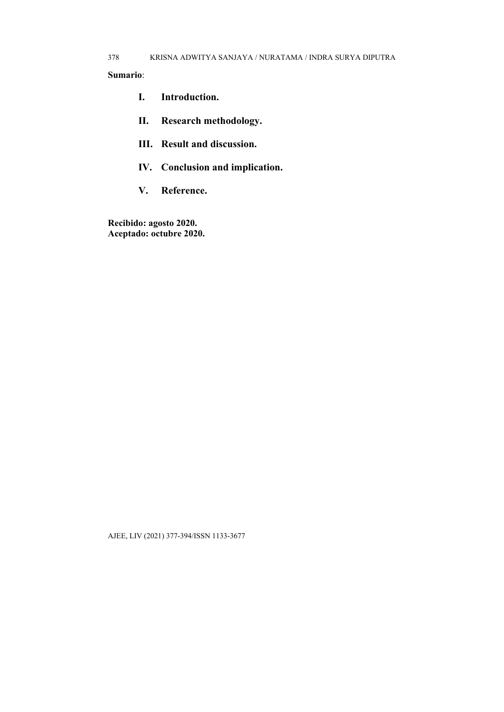- **I. Introduction.**
- **II. Research methodology.**
- **III. Result and discussion.**
- **IV. Conclusion and implication.**
- **V. Reference.**

**Recibido: agosto 2020. Aceptado: octubre 2020.**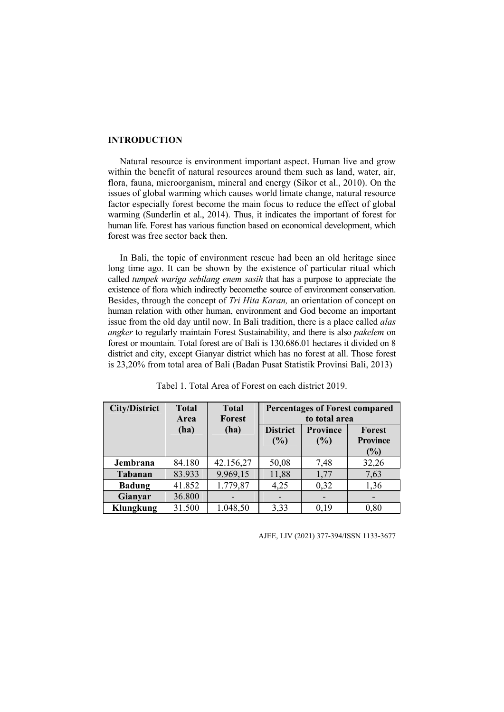### **INTRODUCTION**

Natural resource is environment important aspect. Human live and grow within the benefit of natural resources around them such as land, water, air, flora, fauna, microorganism, mineral and energy (Sikor et al., 2010). On the issues of global warming which causes world limate change, natural resource factor especially forest become the main focus to reduce the effect of global warming (Sunderlin et al., 2014). Thus, it indicates the important of forest for human life. Forest has various function based on economical development, which forest was free sector back then.

In Bali, the topic of environment rescue had been an old heritage since long time ago. It can be shown by the existence of particular ritual which called *tumpek wariga sebilang enem sasih* that has a purpose to appreciate the existence of flora which indirectly becomethe source of environment conservation. Besides, through the concept of *Tri Hita Karan,* an orientation of concept on human relation with other human, environment and God become an important issue from the old day until now. In Bali tradition, there is a place called *alas angker* to regularly maintain Forest Sustainability, and there is also *pakelem* on forest or mountain. Total forest are of Bali is 130.686.01 hectares it divided on 8 district and city, except Gianyar district which has no forest at all. Those forest is 23,20% from total area of Bali (Badan Pusat Statistik Provinsi Bali, 2013)

| <b>City/District</b> | <b>Total</b><br>Area | <b>Total</b><br>Forest | <b>Percentages of Forest compared</b><br>to total area |          |                           |
|----------------------|----------------------|------------------------|--------------------------------------------------------|----------|---------------------------|
|                      | (ha)                 | (ha)                   | <b>District</b>                                        | Province | Forest<br><b>Province</b> |
|                      |                      |                        | (%)                                                    | (%)      | $(\%)$                    |
| Jembrana             | 84.180               | 42.156,27              | 50,08                                                  | 7,48     | 32,26                     |
| <b>Tabanan</b>       | 83.933               | 9.969,15               | 11,88                                                  | 1,77     | 7,63                      |
| <b>Badung</b>        | 41.852               | 1.779,87               | 4,25                                                   | 0,32     | 1,36                      |
| Gianyar              | 36.800               |                        |                                                        |          |                           |
| <b>Klungkung</b>     | 31.500               | 1.048,50               | 3,33                                                   | 0,19     | 0,80                      |

Tabel 1. Total Area of Forest on each district 2019.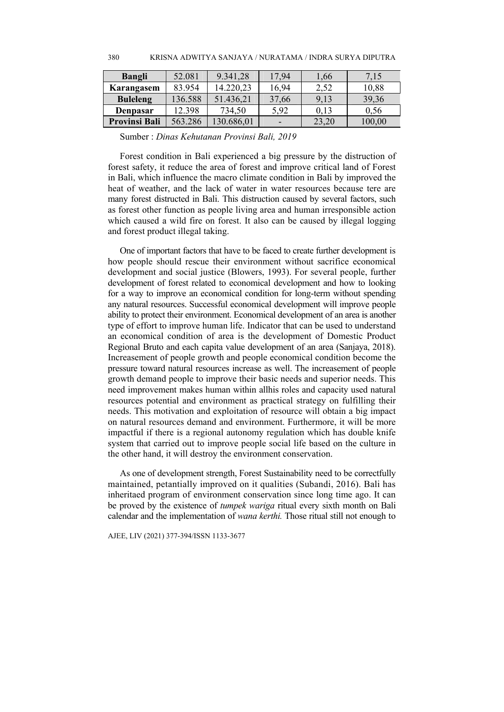| <b>Bangli</b>        | 52.081  | 9.341,28   | 17,94                    | 1,66  | 7,15   |
|----------------------|---------|------------|--------------------------|-------|--------|
| Karangasem           | 83.954  | 14.220,23  | 16,94                    | 2,52  | 10,88  |
| <b>Buleleng</b>      | 136.588 | 51.436,21  | 37,66                    | 9,13  | 39,36  |
| Denpasar             | 12.398  | 734,50     | 5,92                     | 0,13  | 0.56   |
| <b>Provinsi Bali</b> | 563.286 | 130.686,01 | $\overline{\phantom{a}}$ | 23,20 | 100,00 |

Sumber : *Dinas Kehutanan Provinsi Bali, 2019* 

380

Forest condition in Bali experienced a big pressure by the distruction of forest safety, it reduce the area of forest and improve critical land of Forest in Bali, which influence the macro climate condition in Bali by improved the heat of weather, and the lack of water in water resources because tere are many forest distructed in Bali. This distruction caused by several factors, such as forest other function as people living area and human irresponsible action which caused a wild fire on forest. It also can be caused by illegal logging and forest product illegal taking.

One of important factors that have to be faced to create further development is how people should rescue their environment without sacrifice economical development and social justice (Blowers, 1993). For several people, further development of forest related to economical development and how to looking for a way to improve an economical condition for long-term without spending any natural resources. Successful economical development will improve people ability to protect their environment. Economical development of an area is another type of effort to improve human life. Indicator that can be used to understand an economical condition of area is the development of Domestic Product Regional Bruto and each capita value development of an area (Sanjaya, 2018). Increasement of people growth and people economical condition become the pressure toward natural resources increase as well. The increasement of people growth demand people to improve their basic needs and superior needs. This need improvement makes human within allhis roles and capacity used natural resources potential and environment as practical strategy on fulfilling their needs. This motivation and exploitation of resource will obtain a big impact on natural resources demand and environment. Furthermore, it will be more impactful if there is a regional autonomy regulation which has double knife system that carried out to improve people social life based on the culture in the other hand, it will destroy the environment conservation.

As one of development strength, Forest Sustainability need to be correctfully maintained, petantially improved on it qualities (Subandi, 2016). Bali has inheritaed program of environment conservation since long time ago. It can be proved by the existence of *tumpek wariga* ritual every sixth month on Bali calendar and the implementation of *wana kerthi.* Those ritual still not enough to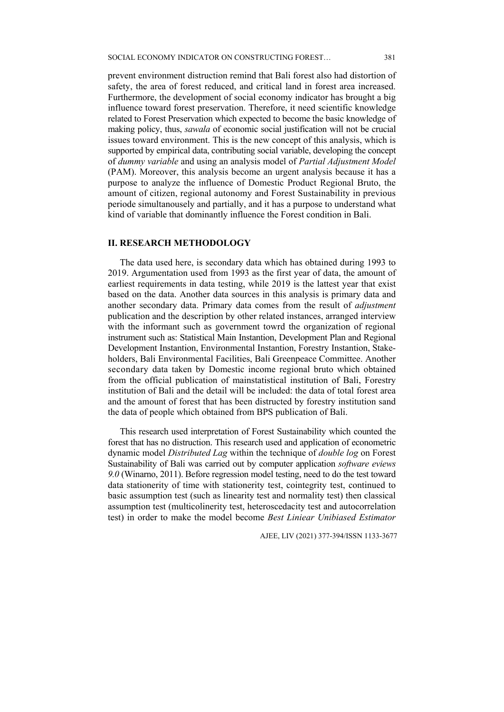prevent environment distruction remind that Bali forest also had distortion of safety, the area of forest reduced, and critical land in forest area increased. Furthermore, the development of social economy indicator has brought a big influence toward forest preservation. Therefore, it need scientific knowledge related to Forest Preservation which expected to become the basic knowledge of making policy, thus, *sawala* of economic social justification will not be crucial issues toward environment. This is the new concept of this analysis, which is supported by empirical data, contributing social variable, developing the concept of *dummy variable* and using an analysis model of *Partial Adjustment Model*  (PAM). Moreover, this analysis become an urgent analysis because it has a purpose to analyze the influence of Domestic Product Regional Bruto, the amount of citizen, regional autonomy and Forest Sustainability in previous periode simultanousely and partially, and it has a purpose to understand what kind of variable that dominantly influence the Forest condition in Bali.

### **II. RESEARCH METHODOLOGY**

The data used here, is secondary data which has obtained during 1993 to 2019. Argumentation used from 1993 as the first year of data, the amount of earliest requirements in data testing, while 2019 is the lattest year that exist based on the data. Another data sources in this analysis is primary data and another secondary data. Primary data comes from the result of *adjustment*  publication and the description by other related instances, arranged interview with the informant such as government towrd the organization of regional instrument such as: Statistical Main Instantion, Development Plan and Regional Development Instantion, Environmental Instantion, Forestry Instantion, Stakeholders, Bali Environmental Facilities, Bali Greenpeace Committee. Another secondary data taken by Domestic income regional bruto which obtained from the official publication of mainstatistical institution of Bali, Forestry institution of Bali and the detail will be included: the data of total forest area and the amount of forest that has been distructed by forestry institution sand the data of people which obtained from BPS publication of Bali.

This research used interpretation of Forest Sustainability which counted the forest that has no distruction. This research used and application of econometric dynamic model *Distributed Lag* within the technique of *double log* on Forest Sustainability of Bali was carried out by computer application *software eviews 9.0* (Winarno, 2011). Before regression model testing, need to do the test toward data stationerity of time with stationerity test, cointegrity test, continued to basic assumption test (such as linearity test and normality test) then classical assumption test (multicolinerity test, heteroscedacity test and autocorrelation test) in order to make the model become *Best Liniear Unibiased Estimator*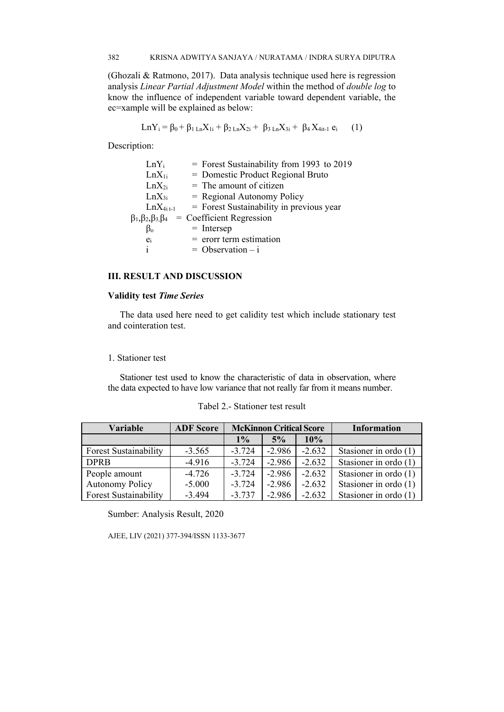(Ghozali & Ratmono, 2017). Data analysis technique used here is regression analysis *Linear Partial Adjustment Model* within the method of *double log* to know the influence of independent variable toward dependent variable, the ec=xample will be explained as below:

$$
LnY_i = \beta_0 + \beta_1 L_n X_{1i} + \beta_2 L_n X_{2i} + \beta_3 L_n X_{3i} + \beta_4 X_{4i-1} e_i \qquad (1)
$$

Description:

| $LnY_i$                              | $=$ Forest Sustainability from 1993 to 2019 |
|--------------------------------------|---------------------------------------------|
| $LnX_{1i}$                           | = Domestic Product Regional Bruto           |
| $LnX_{2i}$                           | $=$ The amount of citizen                   |
| $LnX_{3i}$                           | $=$ Regional Autonomy Policy                |
| $LnX4i t-1$                          | = Forest Sustainability in previous year    |
| $\beta_1, \beta_2, \beta_3, \beta_4$ | $=$ Coefficient Regression                  |
| $\beta_{o}$                          | $=$ Intersep                                |
| $e_i$                                | $=$ erorr term estimation                   |
| i.                                   | $=$ Observation $-$ i                       |

### **III. RESULT AND DISCUSSION**

### **Validity test** *Time Series*

The data used here need to get calidity test which include stationary test and cointeration test.

# 1. Stationer test

Stationer test used to know the characteristic of data in observation, where the data expected to have low variance that not really far from it means number.

| <b>Variable</b>              | <b>ADF</b> Score | <b>McKinnon Critical Score</b> |          |          | <b>Information</b>      |
|------------------------------|------------------|--------------------------------|----------|----------|-------------------------|
|                              |                  | $1\%$                          | 5%       | 10%      |                         |
| <b>Forest Sustainability</b> | $-3.565$         | $-3.724$                       | $-2.986$ | $-2.632$ | Stasioner in ordo $(1)$ |
| <b>DPRB</b>                  | $-4.916$         | $-3.724$                       | $-2.986$ | $-2.632$ | Stasioner in ordo (1)   |
| People amount                | $-4.726$         | $-3.724$                       | $-2.986$ | $-2.632$ | Stasioner in ordo (1)   |
| <b>Autonomy Policy</b>       | $-5.000$         | $-3.724$                       | $-2.986$ | $-2.632$ | Stasioner in ordo (1)   |
| <b>Forest Sustainability</b> | $-3.494$         | $-3.737$                       | $-2.986$ | $-2.632$ | Stasioner in ordo (1)   |

Sumber: Analysis Result, 2020

AJEE, LIV (2021) 377-394/ISSN 1133-3677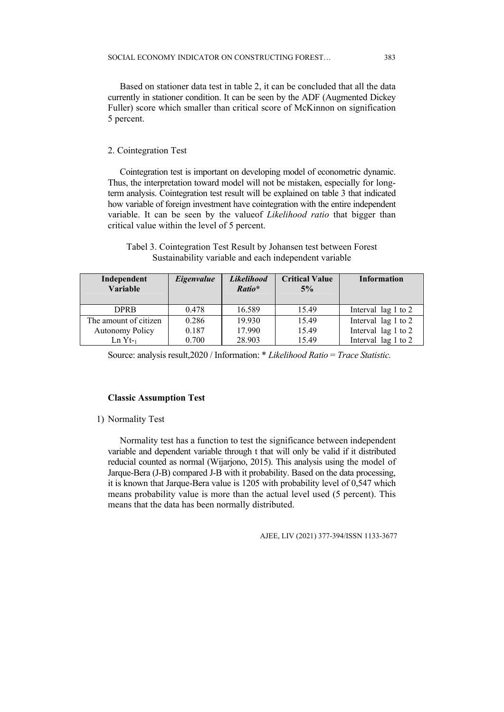Based on stationer data test in table 2, it can be concluded that all the data currently in stationer condition. It can be seen by the ADF (Augmented Dickey Fuller) score which smaller than critical score of McKinnon on signification 5 percent.

383

### 2. Cointegration Test

Cointegration test is important on developing model of econometric dynamic. Thus, the interpretation toward model will not be mistaken, especially for longterm analysis. Cointegration test result will be explained on table 3 that indicated how variable of foreign investment have cointegration with the entire independent variable. It can be seen by the valueof *Likelihood ratio* that bigger than critical value within the level of 5 percent.

| Tabel 3. Cointegration Test Result by Johansen test between Forest |
|--------------------------------------------------------------------|
| Sustainability variable and each independent variable              |

| Independent<br>Variable | Eigenvalue | <b>Likelihood</b><br>Ratio* | <b>Critical Value</b><br>5% | <b>Information</b>  |
|-------------------------|------------|-----------------------------|-----------------------------|---------------------|
| <b>DPRB</b>             | 0.478      | 16.589                      | 15.49                       | Interval lag 1 to 2 |
| The amount of citizen   | 0.286      | 19.930                      | 15.49                       | Interval lag 1 to 2 |
| <b>Autonomy Policy</b>  | 0.187      | 17.990                      | 15.49                       | Interval lag 1 to 2 |
| $Ln Yt-1$               | 0.700      | 28.903                      | 15.49                       | Interval lag 1 to 2 |

Source: analysis result,2020 / Information: \* *Likelihood Ratio* = *Trace Statistic.* 

### **Classic Assumption Test**

### 1) Normality Test

Normality test has a function to test the significance between independent variable and dependent variable through t that will only be valid if it distributed reducial counted as normal (Wijarjono, 2015). This analysis using the model of Jarque-Bera (J-B) compared J-B with it probability. Based on the data processing, it is known that Jarque-Bera value is 1205 with probability level of 0,547 which means probability value is more than the actual level used (5 percent). This means that the data has been normally distributed.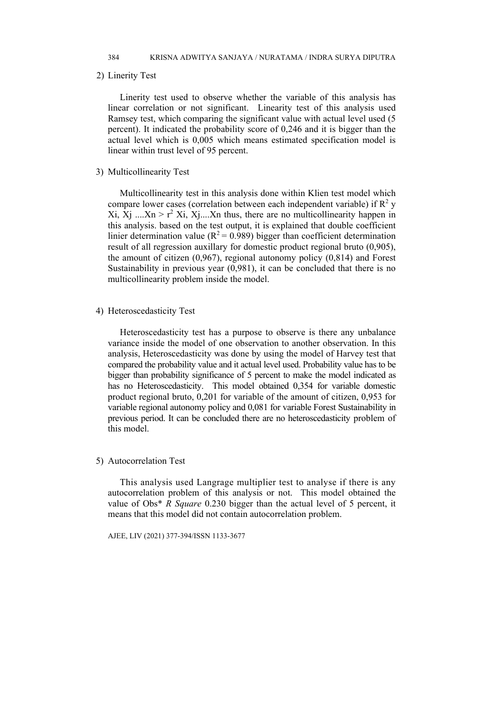2) Linerity Test

Linerity test used to observe whether the variable of this analysis has linear correlation or not significant. Linearity test of this analysis used Ramsey test, which comparing the significant value with actual level used (5 percent). It indicated the probability score of 0,246 and it is bigger than the actual level which is 0,005 which means estimated specification model is linear within trust level of 95 percent.

3) Multicollinearity Test

Multicollinearity test in this analysis done within Klien test model which compare lower cases (correlation between each independent variable) if  $\mathbb{R}^2$  y Xi, Xj ....Xn >  $r^2$  Xi, Xj ....Xn thus, there are no multicollinearity happen in this analysis. based on the test output, it is explained that double coefficient linier determination value ( $R^2 = 0.989$ ) bigger than coefficient determination result of all regression auxillary for domestic product regional bruto (0,905), the amount of citizen (0,967), regional autonomy policy (0,814) and Forest Sustainability in previous year (0,981), it can be concluded that there is no multicollinearity problem inside the model.

# 4) Heteroscedasticity Test

Heteroscedasticity test has a purpose to observe is there any unbalance variance inside the model of one observation to another observation. In this analysis, Heteroscedasticity was done by using the model of Harvey test that compared the probability value and it actual level used. Probability value has to be bigger than probability significance of 5 percent to make the model indicated as has no Heteroscedasticity. This model obtained 0,354 for variable domestic product regional bruto, 0,201 for variable of the amount of citizen, 0,953 for variable regional autonomy policy and 0,081 for variable Forest Sustainability in previous period. It can be concluded there are no heteroscedasticity problem of this model.

### 5) Autocorrelation Test

This analysis used Langrage multiplier test to analyse if there is any autocorrelation problem of this analysis or not. This model obtained the value of Obs\* *R Square* 0.230 bigger than the actual level of 5 percent, it means that this model did not contain autocorrelation problem.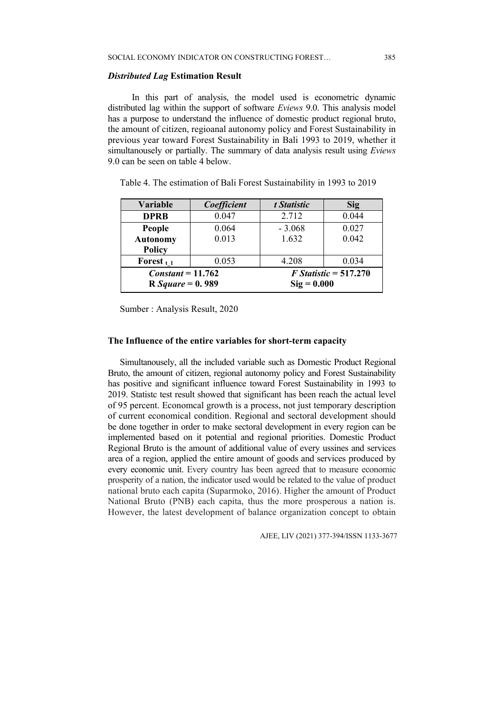### *Distributed Lag* **Estimation Result**

 In this part of analysis, the model used is econometric dynamic distributed lag within the support of software *Eviews* 9.0. This analysis model has a purpose to understand the influence of domestic product regional bruto, the amount of citizen, regioanal autonomy policy and Forest Sustainability in previous year toward Forest Sustainability in Bali 1993 to 2019, whether it simultanousely or partially. The summary of data analysis result using *Eviews* 9.0 can be seen on table 4 below.

| <b>Variable</b>           | Coefficient | t Statistic             | <b>Sig</b> |  |
|---------------------------|-------------|-------------------------|------------|--|
| <b>DPRB</b>               | 0.047       | 2.712                   | 0.044      |  |
| People                    | 0.064       | $-3.068$                | 0.027      |  |
| <b>Autonomy</b>           | 0.013       | 1.632                   | 0.042      |  |
| <b>Policy</b>             |             |                         |            |  |
| Forest $_{t-1}$           | 0.053       | 4.208                   | 0.034      |  |
| $Constant = 11.762$       |             | $F$ Statistic = 517.270 |            |  |
| <b>R</b> Square = $0.989$ |             | $\text{Sig} = 0.000$    |            |  |

Table 4. The estimation of Bali Forest Sustainability in 1993 to 2019

Sumber : Analysis Result, 2020

### **The Influence of the entire variables for short-term capacity**

Simultanousely, all the included variable such as Domestic Product Regional Bruto, the amount of citizen, regional autonomy policy and Forest Sustainability has positive and significant influence toward Forest Sustainability in 1993 to 2019. Statistc test result showed that significant has been reach the actual level of 95 percent. Economcal growth is a process, not just temporary description of current economical condition. Regional and sectoral development should be done together in order to make sectoral development in every region can be implemented based on it potential and regional priorities. Domestic Product Regional Bruto is the amount of additional value of every ussines and services area of a region, applied the entire amount of goods and services produced by every economic unit. Every country has been agreed that to measure economic prosperity of a nation, the indicator used would be related to the value of product national bruto each capita (Suparmoko, 2016). Higher the amount of Product National Bruto (PNB) each capita, thus the more prosperous a nation is. However, the latest development of balance organization concept to obtain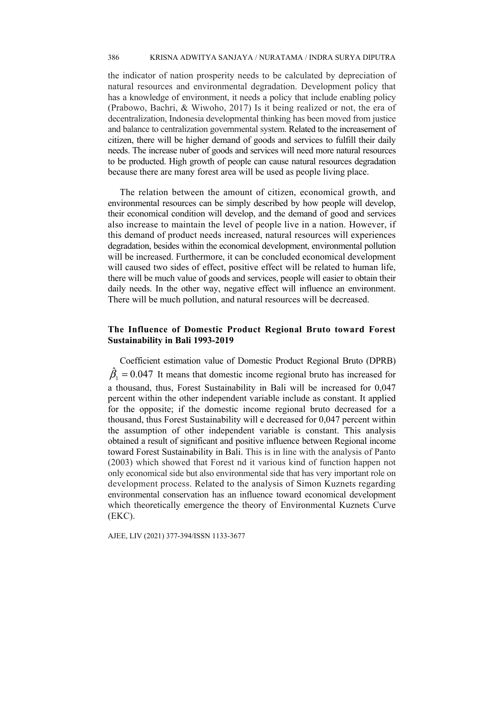the indicator of nation prosperity needs to be calculated by depreciation of natural resources and environmental degradation. Development policy that has a knowledge of environment, it needs a policy that include enabling policy (Prabowo, Bachri, & Wiwoho, 2017) Is it being realized or not, the era of decentralization, Indonesia developmental thinking has been moved from justice and balance to centralization governmental system. Related to the increasement of citizen, there will be higher demand of goods and services to fulfill their daily needs. The increase nuber of goods and services will need more natural resources to be producted. High growth of people can cause natural resources degradation because there are many forest area will be used as people living place.

The relation between the amount of citizen, economical growth, and environmental resources can be simply described by how people will develop, their economical condition will develop, and the demand of good and services also increase to maintain the level of people live in a nation. However, if this demand of product needs increased, natural resources will experiences degradation, besides within the economical development, environmental pollution will be increased. Furthermore, it can be concluded economical development will caused two sides of effect, positive effect will be related to human life, there will be much value of goods and services, people will easier to obtain their daily needs. In the other way, negative effect will influence an environment. There will be much pollution, and natural resources will be decreased.

### **The Influence of Domestic Product Regional Bruto toward Forest Sustainability in Bali 1993-2019**

Coefficient estimation value of Domestic Product Regional Bruto (DPRB)  $\hat{\beta}_1 = 0.047$  It means that domestic income regional bruto has increased for a thousand, thus, Forest Sustainability in Bali will be increased for 0,047 percent within the other independent variable include as constant. It applied for the opposite; if the domestic income regional bruto decreased for a thousand, thus Forest Sustainability will e decreased for 0,047 percent within the assumption of other independent variable is constant. This analysis obtained a result of significant and positive influence between Regional income toward Forest Sustainability in Bali. This is in line with the analysis of Panto (2003) which showed that Forest nd it various kind of function happen not only economical side but also environmental side that has very important role on development process. Related to the analysis of Simon Kuznets regarding environmental conservation has an influence toward economical development which theoretically emergence the theory of Environmental Kuznets Curve (EKC).

AJEE, LIV (2021) 377-394/ISSN 1133-3677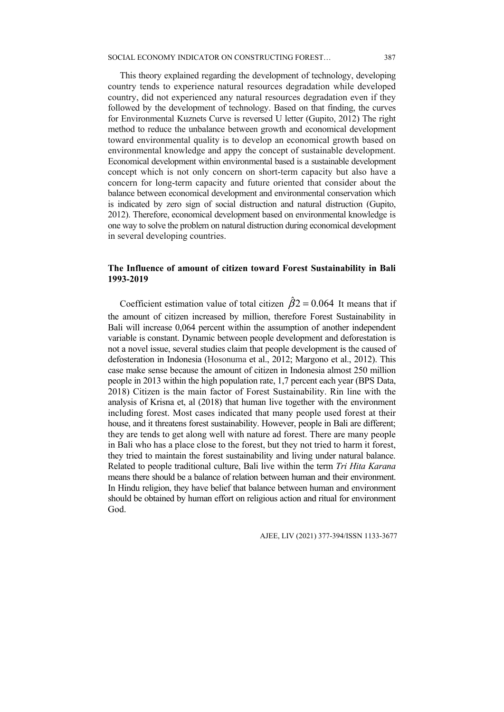### SOCIAL ECONOMY INDICATOR ON CONSTRUCTING FOREST…

This theory explained regarding the development of technology, developing country tends to experience natural resources degradation while developed country, did not experienced any natural resources degradation even if they followed by the development of technology. Based on that finding, the curves for Environmental Kuznets Curve is reversed U letter (Gupito, 2012) The right method to reduce the unbalance between growth and economical development toward environmental quality is to develop an economical growth based on environmental knowledge and appy the concept of sustainable development. Economical development within environmental based is a sustainable development concept which is not only concern on short-term capacity but also have a concern for long-term capacity and future oriented that consider about the balance between economical development and environmental conservation which is indicated by zero sign of social distruction and natural distruction (Gupito, 2012). Therefore, economical development based on environmental knowledge is one way to solve the problem on natural distruction during economical development in several developing countries.

# **The Influence of amount of citizen toward Forest Sustainability in Bali 1993-2019**

Coefficient estimation value of total citizen  $\hat{\beta}2 = 0.064$  It means that if the amount of citizen increased by million, therefore Forest Sustainability in Bali will increase 0,064 percent within the assumption of another independent variable is constant. Dynamic between people development and deforestation is not a novel issue, several studies claim that people development is the caused of defosteration in Indonesia (Hosonuma et al., 2012; Margono et al., 2012). This case make sense because the amount of citizen in Indonesia almost 250 million people in 2013 within the high population rate, 1,7 percent each year (BPS Data, 2018) Citizen is the main factor of Forest Sustainability. Rin line with the analysis of Krisna et, al (2018) that human live together with the environment including forest. Most cases indicated that many people used forest at their house, and it threatens forest sustainability. However, people in Bali are different; they are tends to get along well with nature ad forest. There are many people in Bali who has a place close to the forest, but they not tried to harm it forest, they tried to maintain the forest sustainability and living under natural balance. Related to people traditional culture, Bali live within the term *Tri Hita Karana* means there should be a balance of relation between human and their environment. In Hindu religion, they have belief that balance between human and environment should be obtained by human effort on religious action and ritual for environment God.

387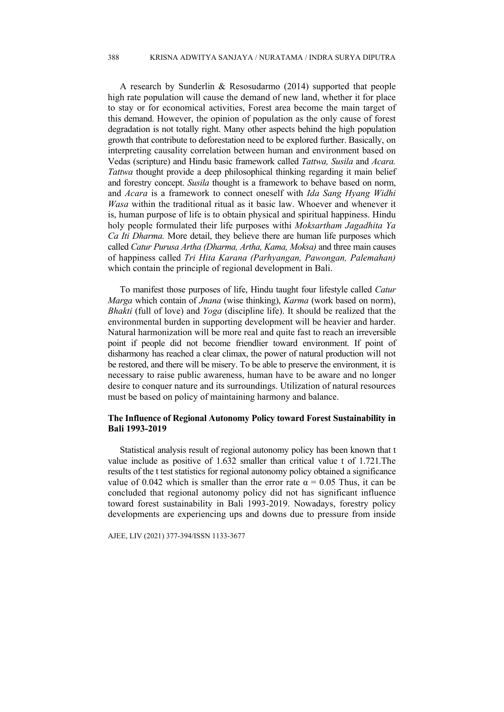A research by Sunderlin & Resosudarmo (2014) supported that people high rate population will cause the demand of new land, whether it for place to stay or for economical activities, Forest area become the main target of this demand. However, the opinion of population as the only cause of forest degradation is not totally right. Many other aspects behind the high population growth that contribute to deforestation need to be explored further. Basically, on interpreting causality correlation between human and environment based on Vedas (scripture) and Hindu basic framework called *Tattwa, Susila* and *Acara. Tattwa* thought provide a deep philosophical thinking regarding it main belief and forestry concept. *Susila* thought is a framework to behave based on norm, and *Acara* is a framework to connect oneself with *Ida Sang Hyang Widhi Wasa* within the traditional ritual as it basic law. Whoever and whenever it is, human purpose of life is to obtain physical and spiritual happiness. Hindu holy people formulated their life purposes withi *Moksartham Jagadhita Ya Ca Iti Dharma.* More detail, they believe there are human life purposes which called *Catur Purusa Artha (Dharma, Artha, Kama, Moksa)* and three main causes of happiness called *Tri Hita Karana (Parhyangan, Pawongan, Palemahan)* which contain the principle of regional development in Bali.

To manifest those purposes of life, Hindu taught four lifestyle called *Catur Marga* which contain of *Jnana* (wise thinking), *Karma* (work based on norm), *Bhakti* (full of love) and *Yoga* (discipline life). It should be realized that the environmental burden in supporting development will be heavier and harder. Natural harmonization will be more real and quite fast to reach an irreversible point if people did not become friendlier toward environment. If point of disharmony has reached a clear climax, the power of natural production will not be restored, and there will be misery. To be able to preserve the environment, it is necessary to raise public awareness, human have to be aware and no longer desire to conquer nature and its surroundings. Utilization of natural resources must be based on policy of maintaining harmony and balance.

### **The Influence of Regional Autonomy Policy toward Forest Sustainability in Bali 1993-2019**

Statistical analysis result of regional autonomy policy has been known that t value include as positive of 1.632 smaller than critical value t of 1.721.The results of the t test statistics for regional autonomy policy obtained a significance value of 0.042 which is smaller than the error rate  $\alpha = 0.05$  Thus, it can be concluded that regional autonomy policy did not has significant influence toward forest sustainability in Bali 1993-2019. Nowadays, forestry policy developments are experiencing ups and downs due to pressure from inside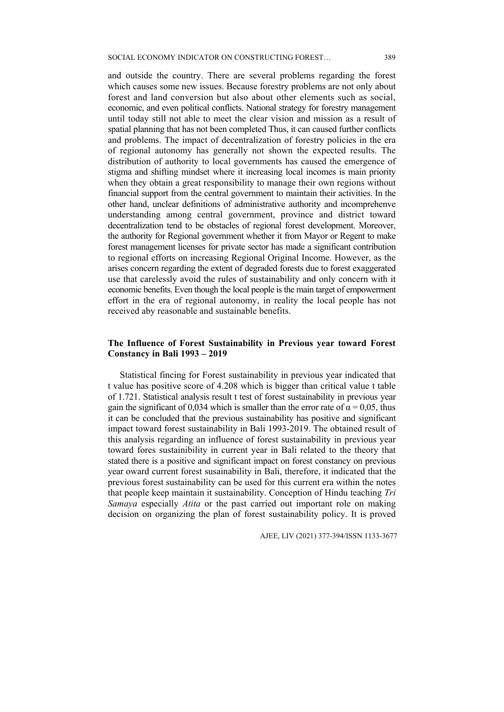and outside the country. There are several problems regarding the forest which causes some new issues. Because forestry problems are not only about forest and land conversion but also about other elements such as social, economic, and even political conflicts. National strategy for forestry management until today still not able to meet the clear vision and mission as a result of spatial planning that has not been completed Thus, it can caused further conflicts and problems. The impact of decentralization of forestry policies in the era of regional autonomy has generally not shown the expected results. The distribution of authority to local governments has caused the emergence of stigma and shifting mindset where it increasing local incomes is main priority when they obtain a great responsibility to manage their own regions without financial support from the central government to maintain their activities. In the other hand, unclear definitions of administrative authority and incomprehenve understanding among central government, province and district toward decentralization tend to be obstacles of regional forest development. Moreover, the authority for Regional government whether it from Mayor or Regent to make forest management licenses for private sector has made a significant contribution to regional efforts on increasing Regional Original Income. However, as the arises concern regarding the extent of degraded forests due to forest exaggerated use that carelessly avoid the rules of sustainability and only concern with it economic benefits. Even though the local people is the main target of empowerment effort in the era of regional autonomy, in reality the local people has not received aby reasonable and sustainable benefits.

# **The Influence of Forest Sustainability in Previous year toward Forest Constancy in Bali 1993 – 2019**

Statistical fincing for Forest sustainability in previous year indicated that t value has positive score of 4.208 which is bigger than critical value t table of 1.721. Statistical analysis result t test of forest sustainability in previous year gain the significant of 0,034 which is smaller than the error rate of  $\alpha = 0.05$ , thus it can be concluded that the previous sustainability has positive and significant impact toward forest sustainability in Bali 1993-2019. The obtained result of this analysis regarding an influence of forest sustainability in previous year toward fores sustainibility in current year in Bali related to the theory that stated there is a positive and significant impact on forest constancy on previous year oward current forest susainability in Bali, therefore, it indicated that the previous forest sustainability can be used for this current era within the notes that people keep maintain it sustainability. Conception of Hindu teaching *Tri Samaya* especially *Atita* or the past carried out important role on making decision on organizing the plan of forest sustainability policy. It is proved

389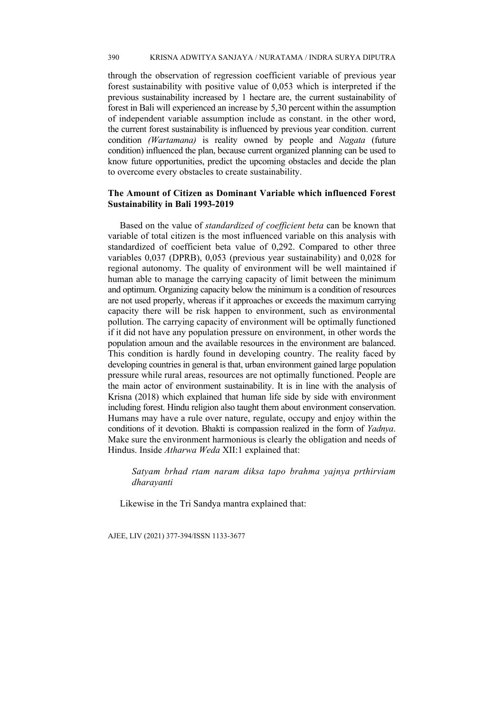through the observation of regression coefficient variable of previous year forest sustainability with positive value of 0,053 which is interpreted if the previous sustainability increased by 1 hectare are, the current sustainability of forest in Bali will experienced an increase by 5,30 percent within the assumption of independent variable assumption include as constant. in the other word, the current forest sustainability is influenced by previous year condition. current condition *(Wartamana)* is reality owned by people and *Nagata* (future condition) influenced the plan, because current organized planning can be used to know future opportunities, predict the upcoming obstacles and decide the plan to overcome every obstacles to create sustainability.

# **The Amount of Citizen as Dominant Variable which influenced Forest Sustainability in Bali 1993-2019**

Based on the value of *standardized of coefficient beta* can be known that variable of total citizen is the most influenced variable on this analysis with standardized of coefficient beta value of 0,292. Compared to other three variables 0,037 (DPRB), 0,053 (previous year sustainability) and 0,028 for regional autonomy. The quality of environment will be well maintained if human able to manage the carrying capacity of limit between the minimum and optimum. Organizing capacity below the minimum is a condition of resources are not used properly, whereas if it approaches or exceeds the maximum carrying capacity there will be risk happen to environment, such as environmental pollution. The carrying capacity of environment will be optimally functioned if it did not have any population pressure on environment, in other words the population amoun and the available resources in the environment are balanced. This condition is hardly found in developing country. The reality faced by developing countries in general is that, urban environment gained large population pressure while rural areas, resources are not optimally functioned. People are the main actor of environment sustainability. It is in line with the analysis of Krisna (2018) which explained that human life side by side with environment including forest. Hindu religion also taught them about environment conservation. Humans may have a rule over nature, regulate, occupy and enjoy within the conditions of it devotion. Bhakti is compassion realized in the form of *Yadnya*. Make sure the environment harmonious is clearly the obligation and needs of Hindus. Inside *Atharwa Weda* XII:1 explained that:

*Satyam brhad rtam naram diksa tapo brahma yajnya prthirviam dharayanti* 

Likewise in the Tri Sandya mantra explained that: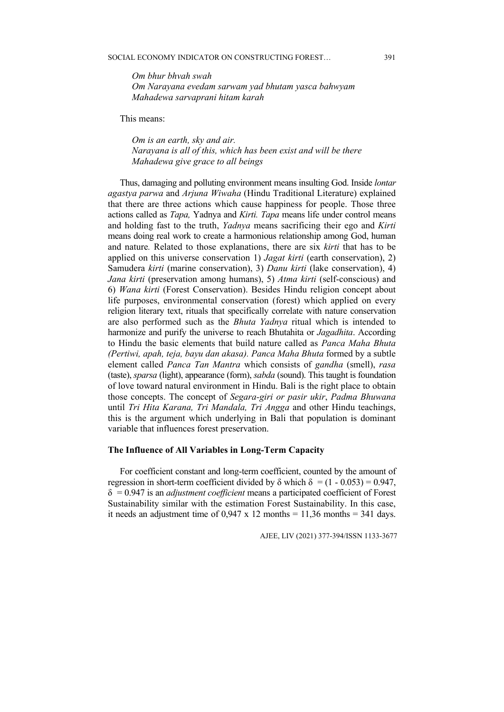*Om bhur bhvah swah Om Narayana evedam sarwam yad bhutam yasca bahwyam Mahadewa sarvaprani hitam karah* 

This means:

*Om is an earth, sky and air. Narayana is all of this, which has been exist and will be there Mahadewa give grace to all beings* 

Thus, damaging and polluting environment means insulting God. Inside *lontar agastya parwa* and *Arjuna Wiwaha* (Hindu Traditional Literature) explained that there are three actions which cause happiness for people. Those three actions called as *Tapa,* Yadnya and *Kirti. Tapa* means life under control means and holding fast to the truth, *Yadnya* means sacrificing their ego and *Kirti*  means doing real work to create a harmonious relationship among God, human and nature*.* Related to those explanations, there are six *kirti* that has to be applied on this universe conservation 1) *Jagat kirti* (earth conservation), 2) Samudera *kirti* (marine conservation), 3) *Danu kirti* (lake conservation), 4) *Jana kirti* (preservation among humans), 5) *Atma kirti* (self-conscious) and 6) *Wana kirti* (Forest Conservation). Besides Hindu religion concept about life purposes, environmental conservation (forest) which applied on every religion literary text, rituals that specifically correlate with nature conservation are also performed such as the *Bhuta Yadnya* ritual which is intended to harmonize and purify the universe to reach Bhutahita or *Jagadhita*. According to Hindu the basic elements that build nature called as *Panca Maha Bhuta (Pertiwi, apah, teja, bayu dan akasa). Panca Maha Bhuta* formed by a subtle element called *Panca Tan Mantra* which consists of *gandha* (smell), *rasa* (taste), *sparsa* (light), appearance (form), *sabda* (sound). This taught is foundation of love toward natural environment in Hindu. Bali is the right place to obtain those concepts. The concept of *Segara-giri or pasir ukir*, *Padma Bhuwana* until *Tri Hita Karana, Tri Mandala, Tri Angga* and other Hindu teachings, this is the argument which underlying in Bali that population is dominant variable that influences forest preservation.

### **The Influence of All Variables in Long-Term Capacity**

For coefficient constant and long-term coefficient, counted by the amount of regression in short-term coefficient divided by  $\delta$  which  $\delta = (1 - 0.053) = 0.947$ , δ = 0.947 is an *adjustment coefficient* means a participated coefficient of Forest Sustainability similar with the estimation Forest Sustainability. In this case, it needs an adjustment time of  $0.947 \times 12$  months = 11,36 months = 341 days.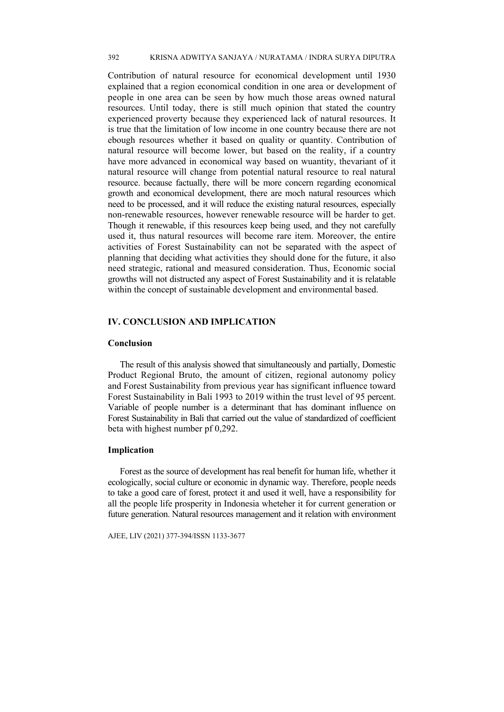Contribution of natural resource for economical development until 1930 explained that a region economical condition in one area or development of people in one area can be seen by how much those areas owned natural resources. Until today, there is still much opinion that stated the country experienced proverty because they experienced lack of natural resources. It is true that the limitation of low income in one country because there are not ebough resources whether it based on quality or quantity. Contribution of natural resource will become lower, but based on the reality, if a country have more advanced in economical way based on wuantity, thevariant of it natural resource will change from potential natural resource to real natural resource. because factually, there will be more concern regarding economical growth and economical development, there are moch natural resources which need to be processed, and it will reduce the existing natural resources, especially non-renewable resources, however renewable resource will be harder to get. Though it renewable, if this resources keep being used, and they not carefully used it, thus natural resources will become rare item. Moreover, the entire activities of Forest Sustainability can not be separated with the aspect of planning that deciding what activities they should done for the future, it also need strategic, rational and measured consideration. Thus, Economic social growths will not distructed any aspect of Forest Sustainability and it is relatable within the concept of sustainable development and environmental based.

# **IV. CONCLUSION AND IMPLICATION**

### **Conclusion**

The result of this analysis showed that simultaneously and partially, Domestic Product Regional Bruto, the amount of citizen, regional autonomy policy and Forest Sustainability from previous year has significant influence toward Forest Sustainability in Bali 1993 to 2019 within the trust level of 95 percent. Variable of people number is a determinant that has dominant influence on Forest Sustainability in Bali that carried out the value of standardized of coefficient beta with highest number pf 0,292.

### **Implication**

Forest as the source of development has real benefit for human life, whether it ecologically, social culture or economic in dynamic way. Therefore, people needs to take a good care of forest, protect it and used it well, have a responsibility for all the people life prosperity in Indonesia wheteher it for current generation or future generation. Natural resources management and it relation with environment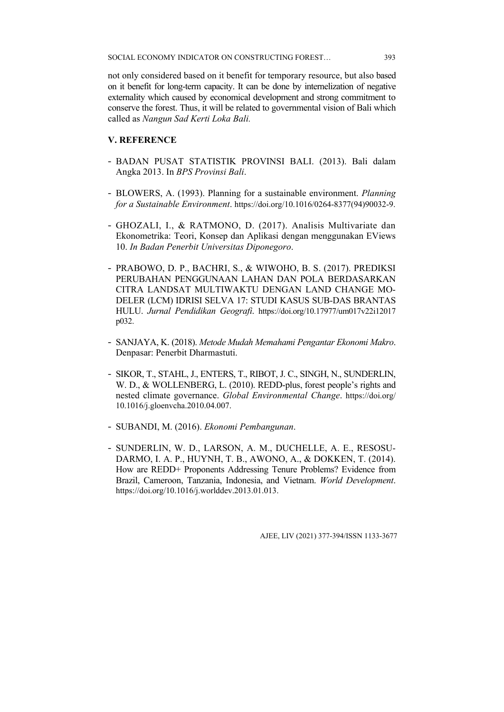not only considered based on it benefit for temporary resource, but also based on it benefit for long-term capacity. It can be done by internelization of negative externality which caused by economical development and strong commitment to conserve the forest. Thus, it will be related to governmental vision of Bali which called as *Nangun Sad Kerti Loka Bali.*

# **V. REFERENCE**

- BADAN PUSAT STATISTIK PROVINSI BALI. (2013). Bali dalam Angka 2013. In *BPS Provinsi Bali*.
- BLOWERS, A. (1993). Planning for a sustainable environment. *Planning for a Sustainable Environment*. https://doi.org/10.1016/0264-8377(94)90032-9.
- GHOZALI, I., & RATMONO, D. (2017). Analisis Multivariate dan Ekonometrika: Teori, Konsep dan Aplikasi dengan menggunakan EViews 10. *In Badan Penerbit Universitas Diponegoro*.
- PRABOWO, D. P., BACHRI, S., & WIWOHO, B. S. (2017). PREDIKSI PERUBAHAN PENGGUNAAN LAHAN DAN POLA BERDASARKAN CITRA LANDSAT MULTIWAKTU DENGAN LAND CHANGE MO-DELER (LCM) IDRISI SELVA 17: STUDI KASUS SUB-DAS BRANTAS HULU. *Jurnal Pendidikan Geografi*. https://doi.org/10.17977/um017v22i12017 p032.
- SANJAYA, K. (2018). *Metode Mudah Memahami Pengantar Ekonomi Makro*. Denpasar: Penerbit Dharmastuti.
- SIKOR, T., STAHL, J., ENTERS, T., RIBOT, J. C., SINGH, N., SUNDERLIN, W. D., & WOLLENBERG, L. (2010). REDD-plus, forest people's rights and nested climate governance. *Global Environmental Change*. https://doi.org/ 10.1016/j.gloenvcha.2010.04.007.
- SUBANDI, M. (2016). *Ekonomi Pembangunan*.
- SUNDERLIN, W. D., LARSON, A. M., DUCHELLE, A. E., RESOSU-DARMO, I. A. P., HUYNH, T. B., AWONO, A., & DOKKEN, T. (2014). How are REDD+ Proponents Addressing Tenure Problems? Evidence from Brazil, Cameroon, Tanzania, Indonesia, and Vietnam. *World Development*. https://doi.org/10.1016/j.worlddev.2013.01.013.